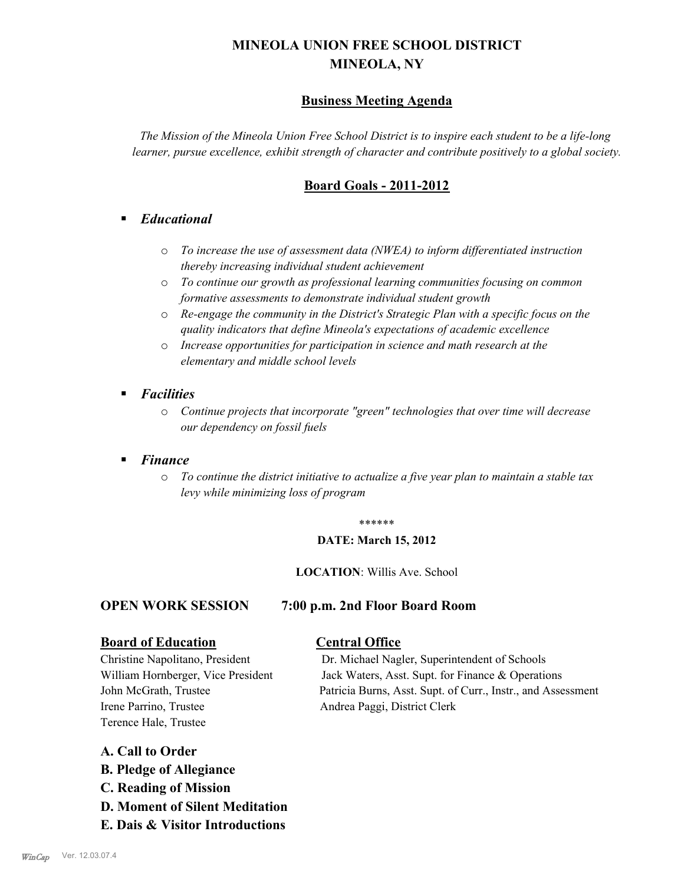# **MINEOLA UNION FREE SCHOOL DISTRICT MINEOLA, NY**

# **Business Meeting Agenda**

*The Mission of the Mineola Union Free School District is to inspire each student to be a life-long learner, pursue excellence, exhibit strength of character and contribute positively to a global society.*

# **Board Goals - 2011-2012**

# § *Educational*

- o *To increase the use of assessment data (NWEA) to inform differentiated instruction thereby increasing individual student achievement*
- o *To continue our growth as professional learning communities focusing on common formative assessments to demonstrate individual student growth*
- o *Re-engage the community in the District's Strategic Plan with a specific focus on the quality indicators that define Mineola's expectations of academic excellence*
- o *Increase opportunities for participation in science and math research at the elementary and middle school levels*
- *Facilities* 
	- o *Continue projects that incorporate "green" technologies that over time will decrease our dependency on fossil fuels*

## § *Finance*

o *To continue the district initiative to actualize a five year plan to maintain a stable tax levy while minimizing loss of program*

#### \*\*\*\*\*\*

#### **DATE: March 15, 2012**

#### **LOCATION**: Willis Ave. School

### **OPEN WORK SESSION 7:00 p.m. 2nd Floor Board Room**

# **Board of Education Central Office**

Irene Parrino, Trustee Andrea Paggi, District Clerk Terence Hale, Trustee

Christine Napolitano, President Dr. Michael Nagler, Superintendent of Schools William Hornberger, Vice President Jack Waters, Asst. Supt. for Finance & Operations John McGrath, Trustee Patricia Burns, Asst. Supt. of Curr., Instr., and Assessment

### **A. Call to Order**

- **B. Pledge of Allegiance**
- **C. Reading of Mission**
- **D. Moment of Silent Meditation**
- **E. Dais & Visitor Introductions**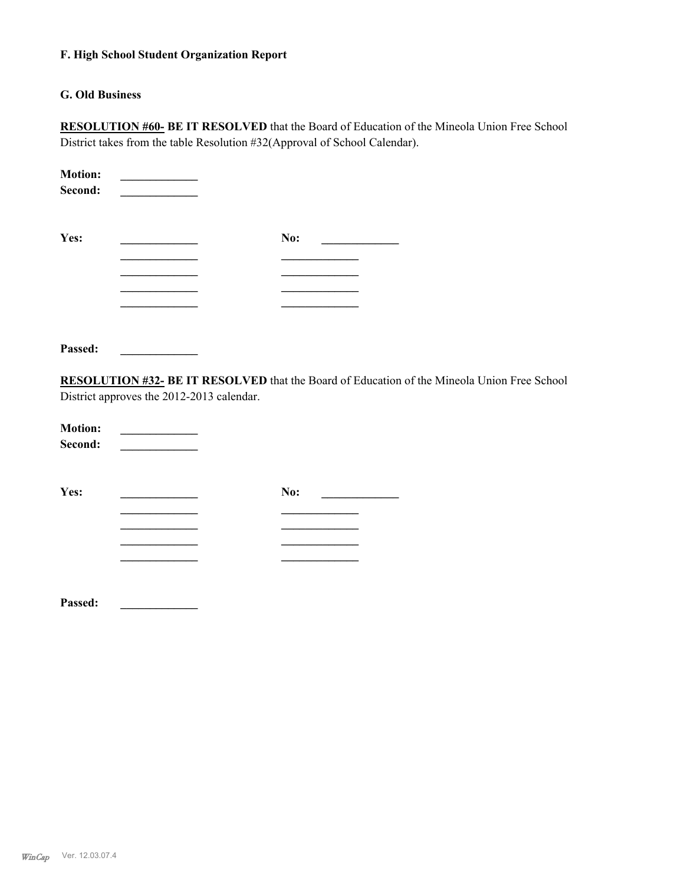#### **F. High School Student Organization Report**

#### **G. Old Business**

**RESOLUTION #60- BE IT RESOLVED** that the Board of Education of the Mineola Union Free School District takes from the table Resolution #32(Approval of School Calendar).

| <b>Motion:</b><br>Second: |     |  |
|---------------------------|-----|--|
| Yes:                      | No: |  |
|                           |     |  |
|                           |     |  |
|                           |     |  |
|                           |     |  |

**Passed: \_\_\_\_\_\_\_\_\_\_\_\_\_**

**RESOLUTION #32- BE IT RESOLVED** that the Board of Education of the Mineola Union Free School District approves the 2012-2013 calendar.

| <b>Motion:</b> |  |
|----------------|--|
| Second:        |  |

**\_\_\_\_\_\_\_\_\_\_\_\_\_ \_\_\_\_\_\_\_\_\_\_\_\_\_**

**\_\_\_\_\_\_\_\_\_\_\_\_\_ \_\_\_\_\_\_\_\_\_\_\_\_\_ \_\_\_\_\_\_\_\_\_\_\_\_\_ \_\_\_\_\_\_\_\_\_\_\_\_\_**

**Yes: \_\_\_\_\_\_\_\_\_\_\_\_\_ No: \_\_\_\_\_\_\_\_\_\_\_\_\_ \_\_\_\_\_\_\_\_\_\_\_\_\_ \_\_\_\_\_\_\_\_\_\_\_\_\_**

**Passed: \_\_\_\_\_\_\_\_\_\_\_\_\_**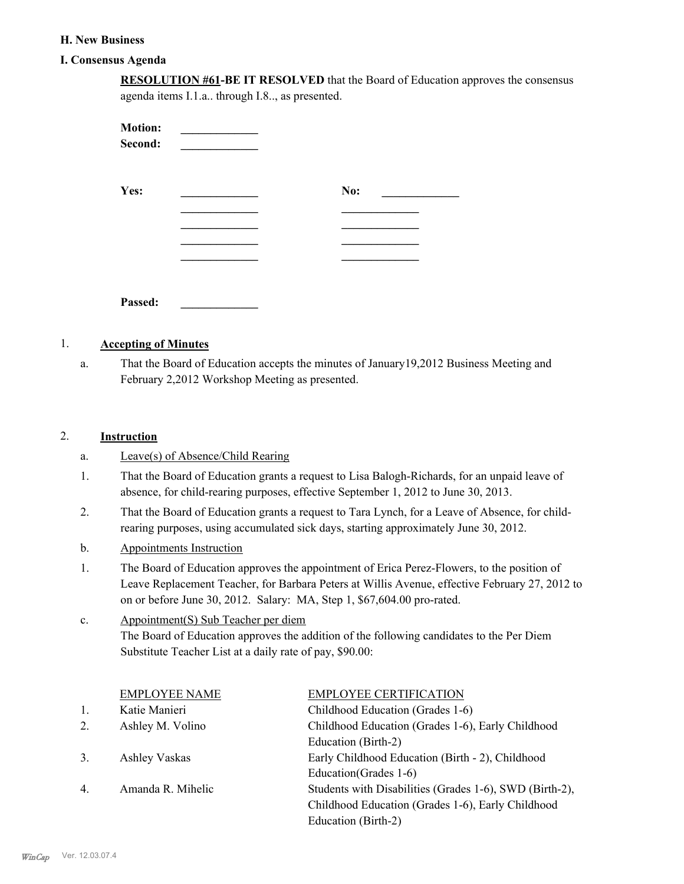#### **H. New Business**

#### **I. Consensus Agenda**

|                           | agenda items I.1.a through I.8, as presented. | <b>RESOLUTION #61-BE IT RESOLVED</b> that the Board of Education approves the consensus |  |
|---------------------------|-----------------------------------------------|-----------------------------------------------------------------------------------------|--|
| <b>Motion:</b><br>Second: |                                               |                                                                                         |  |
| Yes:                      |                                               | No:                                                                                     |  |
|                           |                                               |                                                                                         |  |
|                           |                                               |                                                                                         |  |

### 1. **Accepting of Minutes**

**Passed: \_\_\_\_\_\_\_\_\_\_\_\_\_**

That the Board of Education accepts the minutes of January19,2012 Business Meeting and February 2,2012 Workshop Meeting as presented. a.

### 2. **Instruction**

- a. Leave(s) of Absence/Child Rearing
- That the Board of Education grants a request to Lisa Balogh-Richards, for an unpaid leave of absence, for child-rearing purposes, effective September 1, 2012 to June 30, 2013. 1.
- That the Board of Education grants a request to Tara Lynch, for a Leave of Absence, for childrearing purposes, using accumulated sick days, starting approximately June 30, 2012. 2.
- b. Appointments Instruction
- The Board of Education approves the appointment of Erica Perez-Flowers, to the position of Leave Replacement Teacher, for Barbara Peters at Willis Avenue, effective February 27, 2012 to on or before June 30, 2012. Salary: MA, Step 1, \$67,604.00 pro-rated. 1.
- Appointment(S) Sub Teacher per diem The Board of Education approves the addition of the following candidates to the Per Diem Substitute Teacher List at a daily rate of pay, \$90.00: c.

|                  | <b>EMPLOYEE NAME</b> | <b>EMPLOYEE CERTIFICATION</b>                           |
|------------------|----------------------|---------------------------------------------------------|
| 1.               | Katie Manieri        | Childhood Education (Grades 1-6)                        |
| 2.               | Ashley M. Volino     | Childhood Education (Grades 1-6), Early Childhood       |
|                  |                      | Education (Birth-2)                                     |
| 3.               | Ashley Vaskas        | Early Childhood Education (Birth - 2), Childhood        |
|                  |                      | Education (Grades 1-6)                                  |
| $\overline{4}$ . | Amanda R. Mihelic    | Students with Disabilities (Grades 1-6), SWD (Birth-2), |
|                  |                      | Childhood Education (Grades 1-6), Early Childhood       |
|                  |                      | Education (Birth-2)                                     |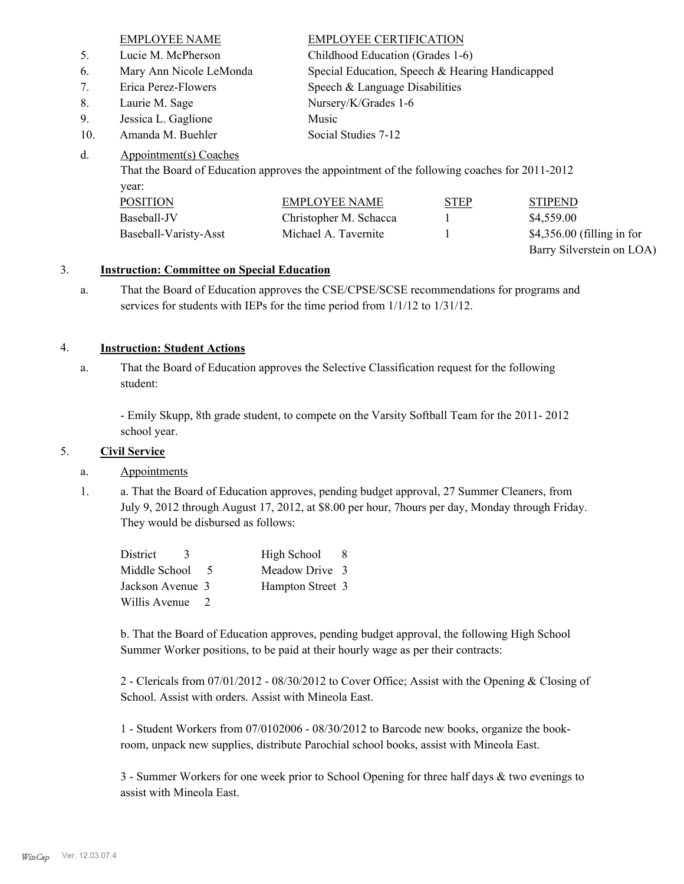|     | <b>EMPLOYEE NAME</b>    | <b>EMPLOYEE CERTIFICATION</b>                   |
|-----|-------------------------|-------------------------------------------------|
| 5.  | Lucie M. McPherson      | Childhood Education (Grades 1-6)                |
| 6.  | Mary Ann Nicole LeMonda | Special Education, Speech & Hearing Handicapped |
| 7.  | Erica Perez-Flowers     | Speech & Language Disabilities                  |
| 8.  | Laurie M. Sage          | Nursery/K/Grades 1-6                            |
| 9.  | Jessica L. Gaglione     | Music                                           |
| 10. | Amanda M. Buehler       | Social Studies 7-12                             |

#### Appointment(s) Coaches d.

That the Board of Education approves the appointment of the following coaches for 2011-2012 year:

| <b>POSITION</b>       | EMPLOYEE NAME          | <b>STEP</b> | <b>STIPEND</b>              |
|-----------------------|------------------------|-------------|-----------------------------|
| Baseball-JV           | Christopher M. Schacca |             | \$4,559.00                  |
| Baseball-Varisty-Asst | Michael A. Tavernite   |             | $$4,356.00$ (filling in for |
|                       |                        |             | Barry Silverstein on LOA)   |

### 3. **Instruction: Committee on Special Education**

That the Board of Education approves the CSE/CPSE/SCSE recommendations for programs and services for students with IEPs for the time period from 1/1/12 to 1/31/12. a.

### 4. **Instruction: Student Actions**

That the Board of Education approves the Selective Classification request for the following student: a.

- Emily Skupp, 8th grade student, to compete on the Varsity Softball Team for the 2011- 2012 school year.

### 5. **Civil Service**

### a. Appointments

a. That the Board of Education approves, pending budget approval, 27 Summer Cleaners, from July 9, 2012 through August 17, 2012, at \$8.00 per hour, 7hours per day, Monday through Friday. They would be disbursed as follows: 1.

| District         |        | High School      | -8 |
|------------------|--------|------------------|----|
| Middle School    | $\sim$ | Meadow Drive 3   |    |
| Jackson Avenue 3 |        | Hampton Street 3 |    |
| Willis Avenue    |        |                  |    |

b. That the Board of Education approves, pending budget approval, the following High School Summer Worker positions, to be paid at their hourly wage as per their contracts:

2 - Clericals from 07/01/2012 - 08/30/2012 to Cover Office; Assist with the Opening & Closing of School. Assist with orders. Assist with Mineola East.

1 - Student Workers from 07/0102006 - 08/30/2012 to Barcode new books, organize the bookroom, unpack new supplies, distribute Parochial school books, assist with Mineola East.

3 - Summer Workers for one week prior to School Opening for three half days & two evenings to assist with Mineola East.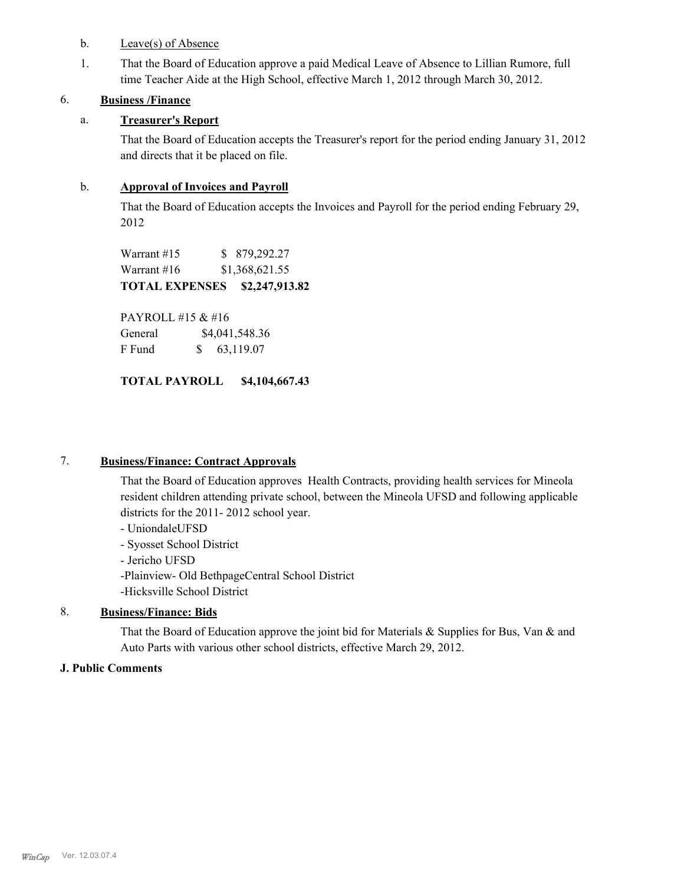- b. Leave(s) of Absence
- That the Board of Education approve a paid Medical Leave of Absence to Lillian Rumore, full time Teacher Aide at the High School, effective March 1, 2012 through March 30, 2012. 1.

# 6. **Business /Finance**

# a. **Treasurer's Report**

That the Board of Education accepts the Treasurer's report for the period ending January 31, 2012 and directs that it be placed on file.

# b. **Approval of Invoices and Payroll**

That the Board of Education accepts the Invoices and Payroll for the period ending February 29, 2012

Warrant #15 \$ 879,292.27 Warrant #16 \$1,368,621.55 **TOTAL EXPENSES \$2,247,913.82** 

PAYROLL #15 & #16 General  $$4,041,548.36$ F Fund \$ 63,119.07

# **TOTAL PAYROLL \$4,104,667.43**

## 7. **Business/Finance: Contract Approvals**

That the Board of Education approves Health Contracts, providing health services for Mineola resident children attending private school, between the Mineola UFSD and following applicable districts for the 2011- 2012 school year.

- UniondaleUFSD
- Syosset School District
- Jericho UFSD

-Plainview- Old BethpageCentral School District -Hicksville School District

# 8. **Business/Finance: Bids**

That the Board of Education approve the joint bid for Materials  $\&$  Supplies for Bus, Van  $\&$  and Auto Parts with various other school districts, effective March 29, 2012.

### **J. Public Comments**